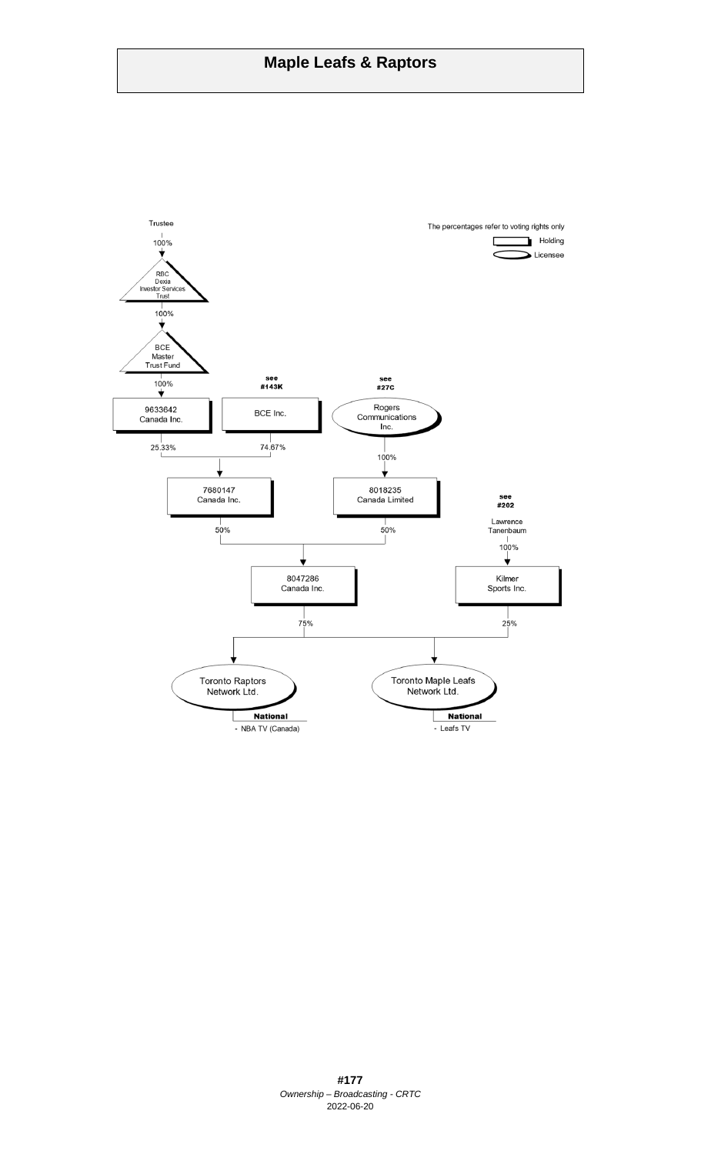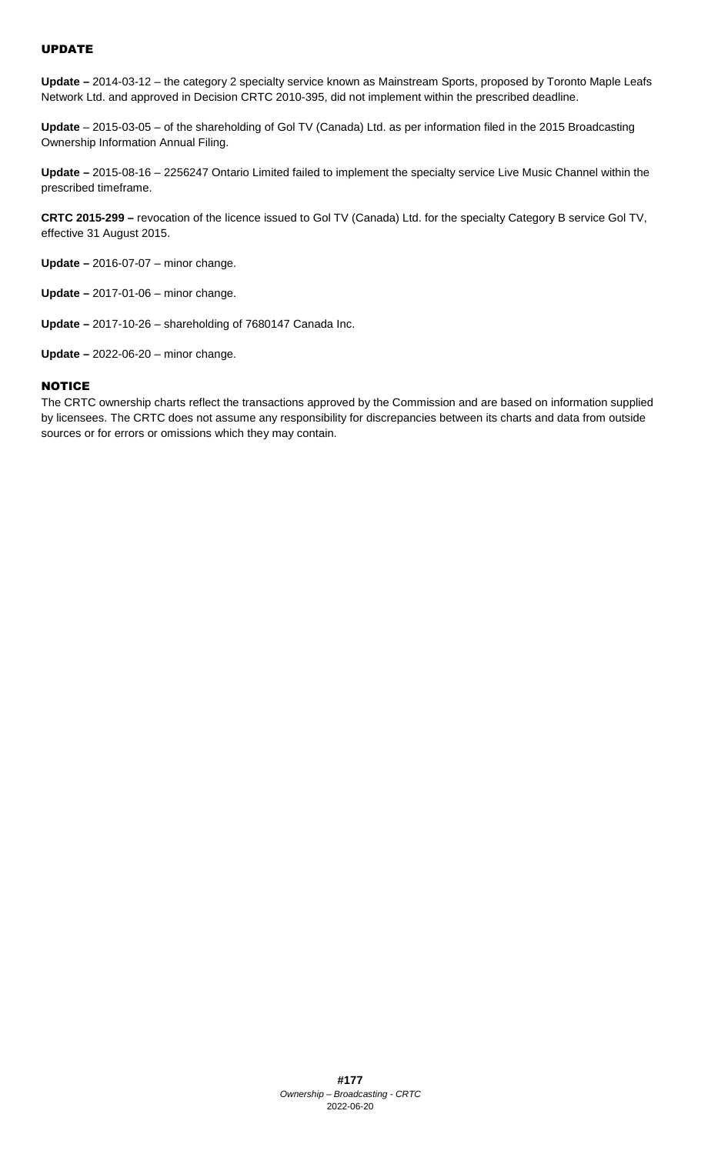# UPDATE

**Update –** 2014-03-12 – the category 2 specialty service known as Mainstream Sports, proposed by Toronto Maple Leafs Network Ltd. and approved in Decision CRTC 2010-395, did not implement within the prescribed deadline.

**Update** – 2015-03-05 – of the shareholding of Gol TV (Canada) Ltd. as per information filed in the 2015 Broadcasting Ownership Information Annual Filing.

**Update –** 2015-08-16 – 2256247 Ontario Limited failed to implement the specialty service Live Music Channel within the prescribed timeframe.

**CRTC 2015-299 –** revocation of the licence issued to Gol TV (Canada) Ltd. for the specialty Category B service Gol TV, effective 31 August 2015.

**Update –** 2016-07-07 – minor change.

**Update –** 2017-01-06 – minor change.

**Update –** 2017-10-26 – shareholding of 7680147 Canada Inc.

**Update –** 2022-06-20 – minor change.

## **NOTICE**

The CRTC ownership charts reflect the transactions approved by the Commission and are based on information supplied by licensees. The CRTC does not assume any responsibility for discrepancies between its charts and data from outside sources or for errors or omissions which they may contain.